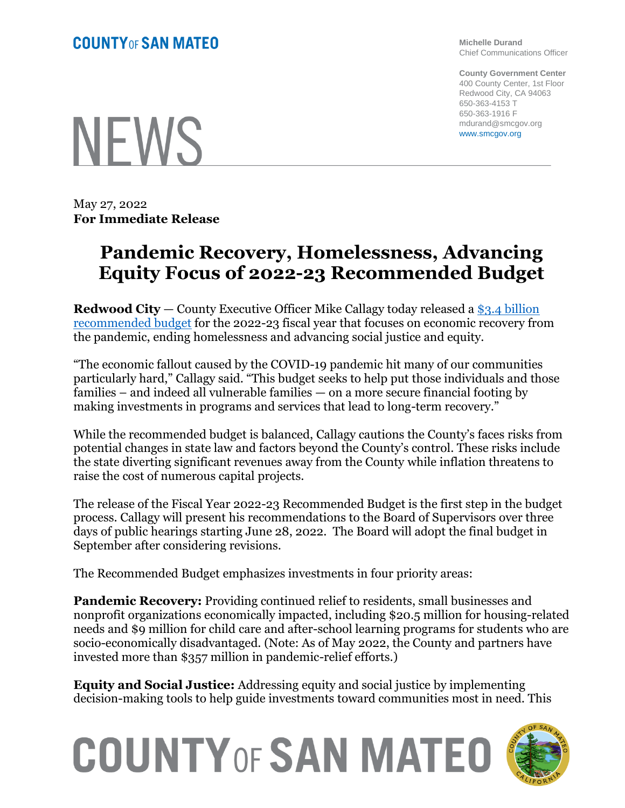## **COUNTY OF SAN MATEO**

**Michelle Durand** Chief Communications Officer

**County Government Center** 400 County Center, 1st Floor Redwood City, CA 94063 650-363-4153 T 650-363-1916 F mdurand@smcgov.org www.smcgov.org

NEWS

May 27, 2022 **For Immediate Release**

## **Pandemic Recovery, Homelessness, Advancing Equity Focus of 2022-23 Recommended Budget**

**Redwood City** — County Executive Officer Mike Callagy today released a [\\$3.4 billion](https://www.smcgov.org/ceo/budget-publications)  [recommended budget](https://www.smcgov.org/ceo/budget-publications) for the 2022-23 fiscal year that focuses on economic recovery from the pandemic, ending homelessness and advancing social justice and equity.

"The economic fallout caused by the COVID-19 pandemic hit many of our communities particularly hard," Callagy said. "This budget seeks to help put those individuals and those families – and indeed all vulnerable families — on a more secure financial footing by making investments in programs and services that lead to long-term recovery."

While the recommended budget is balanced, Callagy cautions the County's faces risks from potential changes in state law and factors beyond the County's control. These risks include the state diverting significant revenues away from the County while inflation threatens to raise the cost of numerous capital projects.

The release of the Fiscal Year 2022-23 Recommended Budget is the first step in the budget process. Callagy will present his recommendations to the Board of Supervisors over three days of public hearings starting June 28, 2022. The Board will adopt the final budget in September after considering revisions.

The Recommended Budget emphasizes investments in four priority areas:

**Pandemic Recovery:** Providing continued relief to residents, small businesses and nonprofit organizations economically impacted, including \$20.5 million for housing-related needs and \$9 million for child care and after-school learning programs for students who are socio-economically disadvantaged. (Note: As of May 2022, the County and partners have invested more than \$357 million in pandemic-relief efforts.)

**Equity and Social Justice:** Addressing equity and social justice by implementing decision-making tools to help guide investments toward communities most in need. This

## **COUNTY OF SAN MATEO**